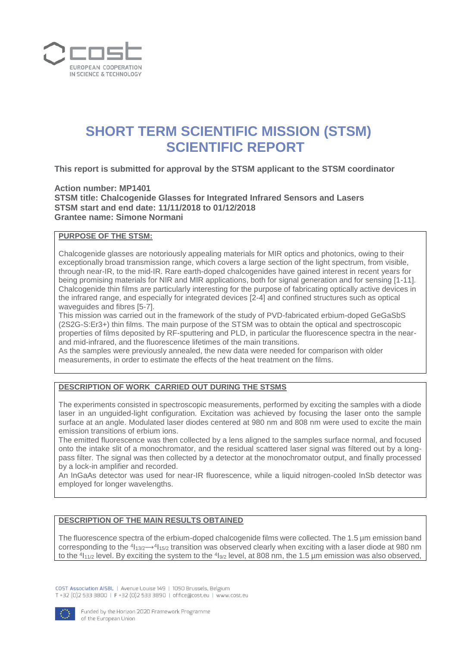

# **SHORT TERM SCIENTIFIC MISSION (STSM) SCIENTIFIC REPORT**

**This report is submitted for approval by the STSM applicant to the STSM coordinator** 

# **Action number: MP1401 STSM title: Chalcogenide Glasses for Integrated Infrared Sensors and Lasers STSM start and end date: 11/11/2018 to 01/12/2018 Grantee name: Simone Normani**

## **PURPOSE OF THE STSM:**

Chalcogenide glasses are notoriously appealing materials for MIR optics and photonics, owing to their exceptionally broad transmission range, which covers a large section of the light spectrum, from visible, through near-IR, to the mid-IR. Rare earth-doped chalcogenides have gained interest in recent years for being promising materials for NIR and MIR applications, both for signal generation and for sensing [1-11]. Chalcogenide thin films are particularly interesting for the purpose of fabricating optically active devices in the infrared range, and especially for integrated devices [2-4] and confined structures such as optical waveguides and fibres [5-7].

This mission was carried out in the framework of the study of PVD-fabricated erbium-doped GeGaSbS (2S2G-S:Er3+) thin films. The main purpose of the STSM was to obtain the optical and spectroscopic properties of films deposited by RF-sputtering and PLD, in particular the fluorescence spectra in the nearand mid-infrared, and the fluorescence lifetimes of the main transitions.

As the samples were previously annealed, the new data were needed for comparison with older measurements, in order to estimate the effects of the heat treatment on the films.

## **DESCRIPTION OF WORK CARRIED OUT DURING THE STSMS**

The experiments consisted in spectroscopic measurements, performed by exciting the samples with a diode laser in an unguided-light configuration. Excitation was achieved by focusing the laser onto the sample surface at an angle. Modulated laser diodes centered at 980 nm and 808 nm were used to excite the main emission transitions of erbium ions.

The emitted fluorescence was then collected by a lens aligned to the samples surface normal, and focused onto the intake slit of a monochromator, and the residual scattered laser signal was filtered out by a longpass filter. The signal was then collected by a detector at the monochromator output, and finally processed by a lock-in amplifier and recorded.

An InGaAs detector was used for near-IR fluorescence, while a liquid nitrogen-cooled InSb detector was employed for longer wavelengths.

#### **DESCRIPTION OF THE MAIN RESULTS OBTAINED**

The fluorescence spectra of the erbium-doped chalcogenide films were collected. The 1.5 µm emission band corresponding to the  $4_{13/2}$  $\rightarrow$  $4_{15/2}$  transition was observed clearly when exciting with a laser diode at 980 nm to the  $4_{11/2}$  level. By exciting the system to the  $4_{9/2}$  level, at 808 nm, the 1.5 µm emission was also observed,